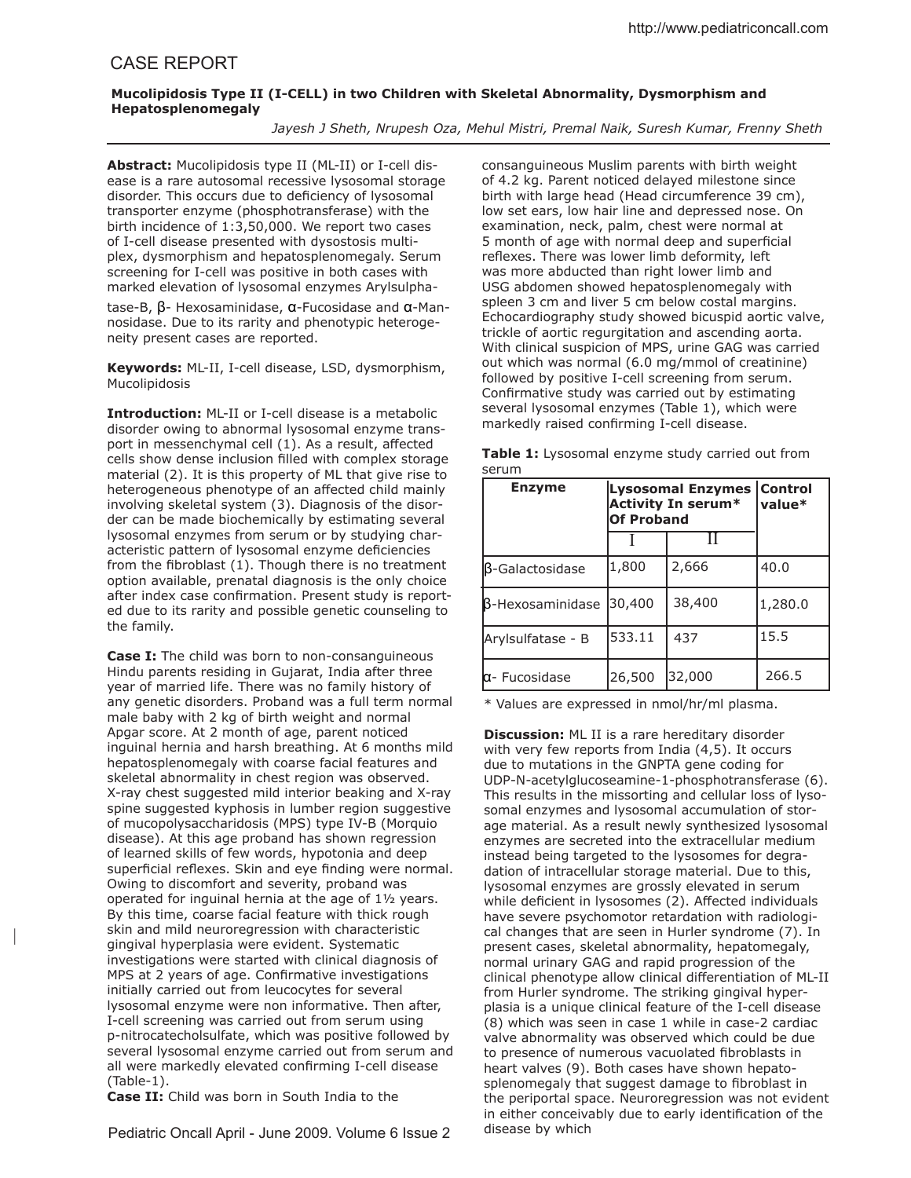## **Mucolipidosis Type II (I-CELL) in two Children with Skeletal Abnormality, Dysmorphism and Hepatosplenomegaly**

*Jayesh J Sheth, Nrupesh Oza, Mehul Mistri, Premal Naik, Suresh Kumar, Frenny Sheth*

**Abstract:** Mucolipidosis type II (ML-II) or I-cell disease is a rare autosomal recessive lysosomal storage disorder. This occurs due to deficiency of lysosomal transporter enzyme (phosphotransferase) with the birth incidence of 1:3,50,000. We report two cases of I-cell disease presented with dysostosis multiplex, dysmorphism and hepatosplenomegaly. Serum screening for I-cell was positive in both cases with marked elevation of lysosomal enzymes Arylsulpha-

tase-B, β- Hexosaminidase, α-Fucosidase and α-Mannosidase. Due to its rarity and phenotypic heterogeneity present cases are reported.

**Keywords:** ML-II, I-cell disease, LSD, dysmorphism, Mucolipidosis

**Introduction:** ML-II or I-cell disease is a metabolic disorder owing to abnormal lysosomal enzyme transport in messenchymal cell (1). As a result, afected cells show dense inclusion filled with complex storage material (2). It is this property of ML that give rise to heterogeneous phenotype of an afected child mainly involving skeletal system (3). Diagnosis of the disorder can be made biochemically by estimating several lysosomal enzymes from serum or by studying characteristic pattern of lysosomal enzyme deficiencies from the fibroblast  $(1)$ . Though there is no treatment option available, prenatal diagnosis is the only choice after index case confirmation. Present study is reported due to its rarity and possible genetic counseling to the family.

**Case I:** The child was born to non-consanguineous Hindu parents residing in Gujarat, India after three year of married life. There was no family history of any genetic disorders. Proband was a full term normal male baby with 2 kg of birth weight and normal Apgar score. At 2 month of age, parent noticed inguinal hernia and harsh breathing. At 6 months mild hepatosplenomegaly with coarse facial features and skeletal abnormality in chest region was observed. X-ray chest suggested mild interior beaking and X-ray spine suggested kyphosis in lumber region suggestive of mucopolysaccharidosis (MPS) type IV-B (Morquio disease). At this age proband has shown regression of learned skills of few words, hypotonia and deep superficial reflexes. Skin and eye finding were normal. Owing to discomfort and severity, proband was operated for inguinal hernia at the age of 1½ years. By this time, coarse facial feature with thick rough skin and mild neuroregression with characteristic gingival hyperplasia were evident. Systematic investigations were started with clinical diagnosis of MPS at 2 years of age. Confirmative investigations initially carried out from leucocytes for several lysosomal enzyme were non informative. Then after, I-cell screening was carried out from serum using p-nitrocatecholsulfate, which was positive followed by several lysosomal enzyme carried out from serum and all were markedly elevated confirming I-cell disease (Table-1).

**Case II:** Child was born in South India to the

|

Pediatric Oncall April - June 2009. Volume 6 Issue 2

consanguineous Muslim parents with birth weight of 4.2 kg. Parent noticed delayed milestone since birth with large head (Head circumference 39 cm), low set ears, low hair line and depressed nose. On examination, neck, palm, chest were normal at 5 month of age with normal deep and supericial reflexes. There was lower limb deformity, left was more abducted than right lower limb and USG abdomen showed hepatosplenomegaly with spleen 3 cm and liver 5 cm below costal margins. Echocardiography study showed bicuspid aortic valve, trickle of aortic regurgitation and ascending aorta. With clinical suspicion of MPS, urine GAG was carried out which was normal (6.0 mg/mmol of creatinine) followed by positive I-cell screening from serum. Confirmative study was carried out by estimating several lysosomal enzymes (Table 1), which were markedly raised confirming I-cell disease.

|       | Table 1: Lysosomal enzyme study carried out from |  |  |
|-------|--------------------------------------------------|--|--|
| serum |                                                  |  |  |

| <b>Enzyme</b>           | <b>Lysosomal Enzymes</b><br><b>Activity In serum*</b><br><b>Of Proband</b> | <b>Control</b><br>$value*$ |         |
|-------------------------|----------------------------------------------------------------------------|----------------------------|---------|
|                         |                                                                            |                            |         |
| $\beta$ -Galactosidase  | 1,800                                                                      | 2,666                      | 40.0    |
| <b>B-Hexosaminidase</b> | 30,400                                                                     | 38,400                     | 1,280.0 |
| Arylsulfatase - B       | 533.11                                                                     | 437                        | 15.5    |
| <b>lα</b> - Fucosidase  | 26,500                                                                     | 32,000                     | 266.5   |

\* Values are expressed in nmol/hr/ml plasma.

**Discussion:** ML II is a rare hereditary disorder with very few reports from India (4,5). It occurs due to mutations in the GNPTA gene coding for UDP-N-acetylglucoseamine-1-phosphotransferase (6). This results in the missorting and cellular loss of lysosomal enzymes and lysosomal accumulation of storage material. As a result newly synthesized lysosomal enzymes are secreted into the extracellular medium instead being targeted to the lysosomes for degradation of intracellular storage material. Due to this, lysosomal enzymes are grossly elevated in serum while deficient in lysosomes (2). Affected individuals have severe psychomotor retardation with radiological changes that are seen in Hurler syndrome (7). In present cases, skeletal abnormality, hepatomegaly, normal urinary GAG and rapid progression of the clinical phenotype allow clinical diferentiation of ML-II from Hurler syndrome. The striking gingival hyperplasia is a unique clinical feature of the I-cell disease (8) which was seen in case 1 while in case-2 cardiac valve abnormality was observed which could be due to presence of numerous vacuolated fibroblasts in heart valves (9). Both cases have shown hepatosplenomegaly that suggest damage to fibroblast in the periportal space. Neuroregression was not evident in either conceivably due to early identification of the disease by which